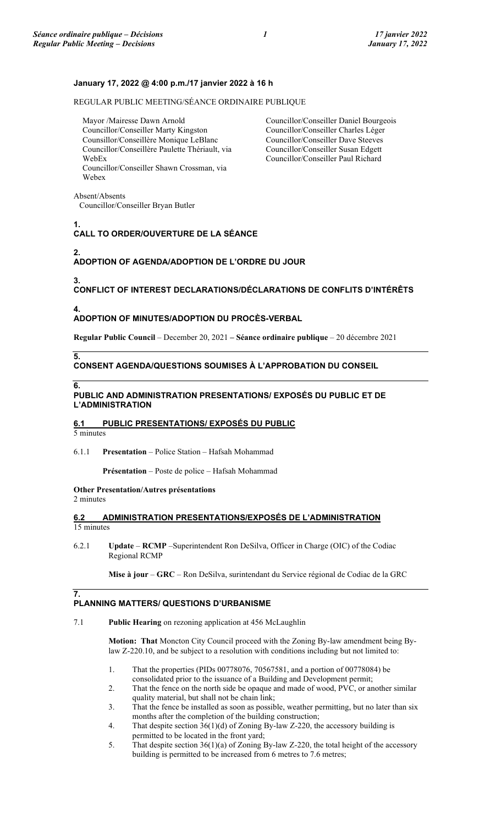### **January 17, 2022 @ 4:00 p.m./17 janvier 2022 à 16 h**

REGULAR PUBLIC MEETING/SÉANCE ORDINAIRE PUBLIQUE

Mayor /Mairesse Dawn Arnold Councillor/Conseiller Marty Kingston Counsillor/Conseillère Monique LeBlanc Councillor/Conseillère Paulette Thériault, via WebEx Councillor/Conseiller Shawn Crossman, via Webex

Councillor/Conseiller Daniel Bourgeois Councillor/Conseiller Charles Léger Councillor/Conseiller Dave Steeves Councillor/Conseiller Susan Edgett Councillor/Conseiller Paul Richard

Absent/Absents Councillor/Conseiller Bryan Butler

**1.**

# **CALL TO ORDER/OUVERTURE DE LA SÉANCE**

**2.**

## **ADOPTION OF AGENDA/ADOPTION DE L'ORDRE DU JOUR**

**3.**

**CONFLICT OF INTEREST DECLARATIONS/DÉCLARATIONS DE CONFLITS D'INTÉRÊTS**

**4.**

## **ADOPTION OF MINUTES/ADOPTION DU PROCÈS-VERBAL**

**Regular Public Council** – December 20, 2021 **– Séance ordinaire publique** – 20 décembre 2021

## **CONSENT AGENDA/QUESTIONS SOUMISES À L'APPROBATION DU CONSEIL**

**6.**

**5.**

#### **PUBLIC AND ADMINISTRATION PRESENTATIONS/ EXPOSÉS DU PUBLIC ET DE L'ADMINISTRATION**

#### **6.1 PUBLIC PRESENTATIONS/ EXPOSÉS DU PUBLIC** 5 minutes

### 6.1.1 **Presentation** – Police Station – Hafsah Mohammad

**Présentation** – Poste de police – Hafsah Mohammad

## **Other Presentation/Autres présentations**

2 minutes

**7.**

### **6.2 ADMINISTRATION PRESENTATIONS/EXPOSÉS DE L'ADMINISTRATION**  15 minutes

6.2.1 **Update** – **RCMP** –Superintendent Ron DeSilva, Officer in Charge (OIC) of the Codiac Regional RCMP

**Mise à jour** – **GRC** – Ron DeSilva, surintendant du Service régional de Codiac de la GRC

## **PLANNING MATTERS/ QUESTIONS D'URBANISME**

## 7.1 **Public Hearing** on rezoning application at 456 McLaughlin

**Motion: That** Moncton City Council proceed with the Zoning By-law amendment being Bylaw Z-220.10, and be subject to a resolution with conditions including but not limited to:

- 1. That the properties (PIDs 00778076, 70567581, and a portion of 00778084) be consolidated prior to the issuance of a Building and Development permit;
- 2. That the fence on the north side be opaque and made of wood, PVC, or another similar quality material, but shall not be chain link;
- 3. That the fence be installed as soon as possible, weather permitting, but no later than six months after the completion of the building construction;
- 4. That despite section 36(1)(d) of Zoning By-law Z-220, the accessory building is permitted to be located in the front yard;
- 5. That despite section 36(1)(a) of Zoning By-law Z-220, the total height of the accessory building is permitted to be increased from 6 metres to 7.6 metres;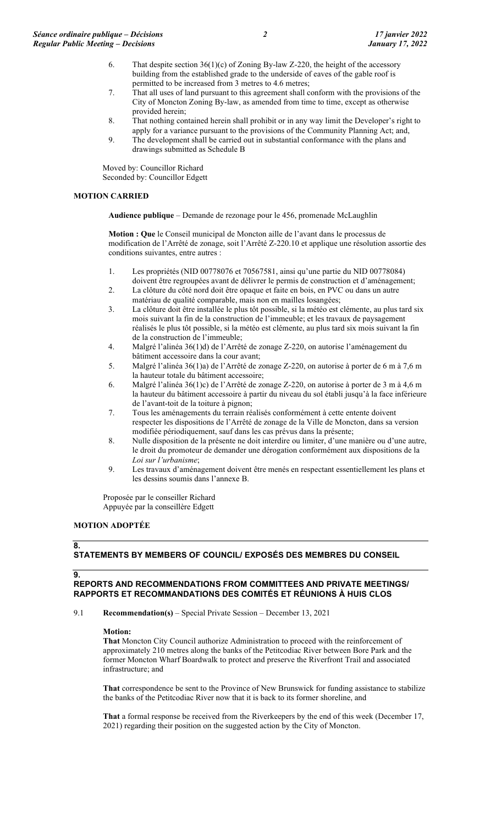- 6. That despite section  $36(1)(c)$  of Zoning By-law Z-220, the height of the accessory building from the established grade to the underside of eaves of the gable roof is permitted to be increased from 3 metres to 4.6 metres;
- 7. That all uses of land pursuant to this agreement shall conform with the provisions of the City of Moncton Zoning By-law, as amended from time to time, except as otherwise provided herein;
- 8. That nothing contained herein shall prohibit or in any way limit the Developer's right to apply for a variance pursuant to the provisions of the Community Planning Act; and,
- 9. The development shall be carried out in substantial conformance with the plans and drawings submitted as Schedule B

Moved by: Councillor Richard Seconded by: Councillor Edgett

## **MOTION CARRIED**

**Audience publique** – Demande de rezonage pour le 456, promenade McLaughlin

**Motion : Que** le Conseil municipal de Moncton aille de l'avant dans le processus de modification de l'Arrêté de zonage, soit l'Arrêté Z-220.10 et applique une résolution assortie des conditions suivantes, entre autres :

- 1. Les propriétés (NID 00778076 et 70567581, ainsi qu'une partie du NID 00778084) doivent être regroupées avant de délivrer le permis de construction et d'aménagement;
- 2. La clôture du côté nord doit être opaque et faite en bois, en PVC ou dans un autre matériau de qualité comparable, mais non en mailles losangées;
- 3. La clôture doit être installée le plus tôt possible, si la météo est clémente, au plus tard six mois suivant la fin de la construction de l'immeuble; et les travaux de paysagement réalisés le plus tôt possible, si la météo est clémente, au plus tard six mois suivant la fin de la construction de l'immeuble;
- 4. Malgré l'alinéa 36(1)d) de l'Arrêté de zonage Z-220, on autorise l'aménagement du bâtiment accessoire dans la cour avant;
- 5. Malgré l'alinéa 36(1)a) de l'Arrêté de zonage Z-220, on autorise à porter de 6 m à 7,6 m la hauteur totale du bâtiment accessoire;
- 6. Malgré l'alinéa 36(1)c) de l'Arrêté de zonage Z-220, on autorise à porter de 3 m à 4,6 m la hauteur du bâtiment accessoire à partir du niveau du sol établi jusqu'à la face inférieure de l'avant-toit de la toiture à pignon;
- 7. Tous les aménagements du terrain réalisés conformément à cette entente doivent respecter les dispositions de l'Arrêté de zonage de la Ville de Moncton, dans sa version modifiée périodiquement, sauf dans les cas prévus dans la présente;
- 8. Nulle disposition de la présente ne doit interdire ou limiter, d'une manière ou d'une autre, le droit du promoteur de demander une dérogation conformément aux dispositions de la *Loi sur l'urbanisme*;
- 9. Les travaux d'aménagement doivent être menés en respectant essentiellement les plans et les dessins soumis dans l'annexe B.

Proposée par le conseiller Richard Appuyée par la conseillère Edgett

### **MOTION ADOPTÉE**

#### **8.**

**9.**

## **STATEMENTS BY MEMBERS OF COUNCIL/ EXPOSÉS DES MEMBRES DU CONSEIL**

## **REPORTS AND RECOMMENDATIONS FROM COMMITTEES AND PRIVATE MEETINGS/ RAPPORTS ET RECOMMANDATIONS DES COMITÉS ET RÉUNIONS À HUIS CLOS**

9.1 **Recommendation(s)** – Special Private Session – December 13, 2021

### **Motion:**

**That** Moncton City Council authorize Administration to proceed with the reinforcement of approximately 210 metres along the banks of the Petitcodiac River between Bore Park and the former Moncton Wharf Boardwalk to protect and preserve the Riverfront Trail and associated infrastructure; and

**That** correspondence be sent to the Province of New Brunswick for funding assistance to stabilize the banks of the Petitcodiac River now that it is back to its former shoreline, and

**That** a formal response be received from the Riverkeepers by the end of this week (December 17, 2021) regarding their position on the suggested action by the City of Moncton.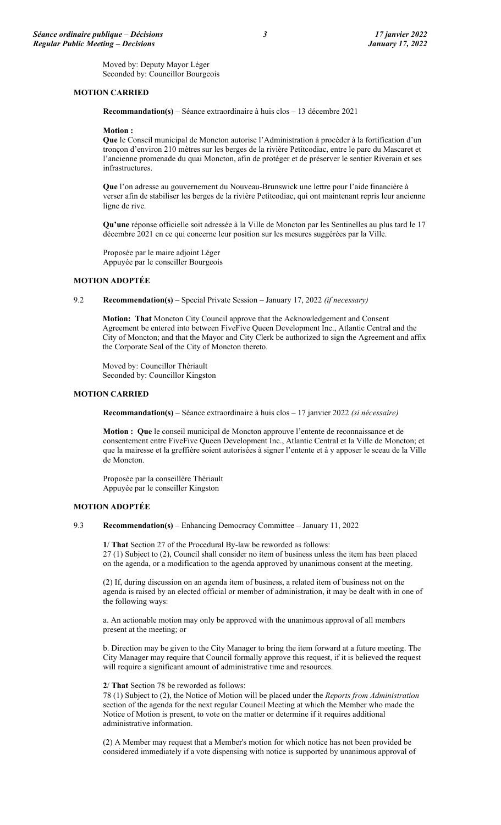Moved by: Deputy Mayor Léger Seconded by: Councillor Bourgeois

### **MOTION CARRIED**

**Recommandation(s)** – Séance extraordinaire à huis clos – 13 décembre 2021

#### **Motion :**

**Que** le Conseil municipal de Moncton autorise l'Administration à procéder à la fortification d'un tronçon d'environ 210 mètres sur les berges de la rivière Petitcodiac, entre le parc du Mascaret et l'ancienne promenade du quai Moncton, afin de protéger et de préserver le sentier Riverain et ses infrastructures.

**Que** l'on adresse au gouvernement du Nouveau-Brunswick une lettre pour l'aide financière à verser afin de stabiliser les berges de la rivière Petitcodiac, qui ont maintenant repris leur ancienne ligne de rive.

**Qu'une** réponse officielle soit adressée à la Ville de Moncton par les Sentinelles au plus tard le 17 décembre 2021 en ce qui concerne leur position sur les mesures suggérées par la Ville.

Proposée par le maire adjoint Léger Appuyée par le conseiller Bourgeois

### **MOTION ADOPTÉE**

9.2 **Recommendation(s)** – Special Private Session – January 17, 2022 *(if necessary)*

**Motion: That** Moncton City Council approve that the Acknowledgement and Consent Agreement be entered into between FiveFive Queen Development Inc., Atlantic Central and the City of Moncton; and that the Mayor and City Clerk be authorized to sign the Agreement and affix the Corporate Seal of the City of Moncton thereto.

Moved by: Councillor Thériault Seconded by: Councillor Kingston

#### **MOTION CARRIED**

**Recommandation(s)** – Séance extraordinaire à huis clos – 17 janvier 2022 *(si nécessaire)*

**Motion : Que** le conseil municipal de Moncton approuve l'entente de reconnaissance et de consentement entre FiveFive Queen Development Inc., Atlantic Central et la Ville de Moncton; et que la mairesse et la greffière soient autorisées à signer l'entente et à y apposer le sceau de la Ville de Moncton.

Proposée par la conseillère Thériault Appuyée par le conseiller Kingston

### **MOTION ADOPTÉE**

9.3 **Recommendation(s)** – Enhancing Democracy Committee – January 11, 2022

**1**/ **That** Section 27 of the Procedural By-law be reworded as follows: 27 (1) Subject to (2), Council shall consider no item of business unless the item has been placed on the agenda, or a modification to the agenda approved by unanimous consent at the meeting.

(2) If, during discussion on an agenda item of business, a related item of business not on the agenda is raised by an elected official or member of administration, it may be dealt with in one of the following ways:

a. An actionable motion may only be approved with the unanimous approval of all members present at the meeting; or

b. Direction may be given to the City Manager to bring the item forward at a future meeting. The City Manager may require that Council formally approve this request, if it is believed the request will require a significant amount of administrative time and resources.

#### **2**/ **That** Section 78 be reworded as follows:

78 (1) Subject to (2), the Notice of Motion will be placed under the *Reports from Administration* section of the agenda for the next regular Council Meeting at which the Member who made the Notice of Motion is present, to vote on the matter or determine if it requires additional administrative information.

(2) A Member may request that a Member's motion for which notice has not been provided be considered immediately if a vote dispensing with notice is supported by unanimous approval of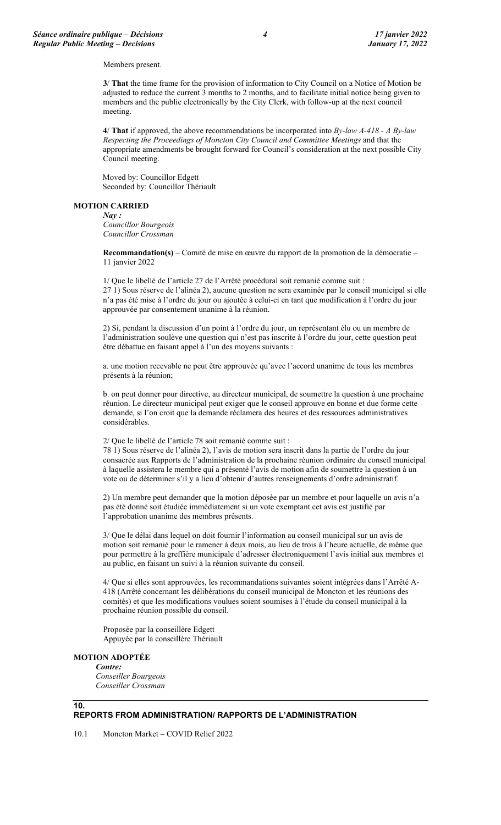Members present.

**3**/ **That** the time frame for the provision of information to City Council on a Notice of Motion be adjusted to reduce the current 3 months to 2 months, and to facilitate initial notice being given to members and the public electronically by the City Clerk, with follow-up at the next council meeting.

**4**/ **That** if approved, the above recommendations be incorporated into *By-law A-418 - A By-law Respecting the Proceedings of Moncton City Council and Committee Meetings* and that the appropriate amendments be brought forward for Council's consideration at the next possible City Council meeting.

Moved by: Councillor Edgett Seconded by: Councillor Thériault

#### **MOTION CARRIED**

*Nay : Councillor Bourgeois Councillor Crossman*

**Recommandation(s)** – Comité de mise en œuvre du rapport de la promotion de la démocratie – 11 janvier 2022

1/ Que le libellé de l'article 27 de l'Arrêté procédural soit remanié comme suit : 27 1) Sous réserve de l'alinéa 2), aucune question ne sera examinée par le conseil municipal si elle n'a pas été mise à l'ordre du jour ou ajoutée à celui-ci en tant que modification à l'ordre du jour approuvée par consentement unanime à la réunion.

2) Si, pendant la discussion d'un point à l'ordre du jour, un représentant élu ou un membre de l'administration soulève une question qui n'est pas inscrite à l'ordre du jour, cette question peut être débattue en faisant appel à l'un des moyens suivants :

a. une motion recevable ne peut être approuvée qu'avec l'accord unanime de tous les membres présents à la réunion;

b. on peut donner pour directive, au directeur municipal, de soumettre la question à une prochaine réunion. Le directeur municipal peut exiger que le conseil approuve en bonne et due forme cette demande, si l'on croit que la demande réclamera des heures et des ressources administratives considérables.

2/ Que le libellé de l'article 78 soit remanié comme suit :

78 1) Sous réserve de l'alinéa 2), l'avis de motion sera inscrit dans la partie de l'ordre du jour consacrée aux Rapports de l'administration de la prochaine réunion ordinaire du conseil municipal à laquelle assistera le membre qui a présenté l'avis de motion afin de soumettre la question à un vote ou de déterminer s'il y a lieu d'obtenir d'autres renseignements d'ordre administratif.

2) Un membre peut demander que la motion déposée par un membre et pour laquelle un avis n'a pas été donné soit étudiée immédiatement si un vote exemptant cet avis est justifié par l'approbation unanime des membres présents.

3/ Que le délai dans lequel on doit fournir l'information au conseil municipal sur un avis de motion soit remanié pour le ramener à deux mois, au lieu de trois à l'heure actuelle, de même que pour permettre à la greffière municipale d'adresser électroniquement l'avis initial aux membres et au public, en faisant un suivi à la réunion suivante du conseil.

4/ Que si elles sont approuvées, les recommandations suivantes soient intégrées dans l'Arrêté A-418 (Arrêté concernant les délibérations du conseil municipal de Moncton et les réunions des comités) et que les modifications voulues soient soumises à l'étude du conseil municipal à la prochaine réunion possible du conseil.

Proposée par la conseillère Edgett Appuyée par la conseillère Thériault

#### **MOTION ADOPTÉE**

**10.**

*Contre: Conseiller Bourgeois Conseiller Crossman*

### **REPORTS FROM ADMINISTRATION/ RAPPORTS DE L'ADMINISTRATION**

10.1 Moncton Market – COVID Relief 2022